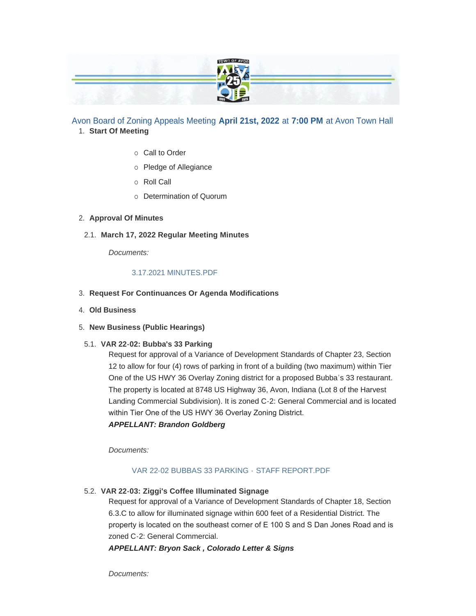|                                                                                                                                                      | $J$ with $J$ |                                        |
|------------------------------------------------------------------------------------------------------------------------------------------------------|--------------|----------------------------------------|
| <b>STATISTICS</b><br><b>ANTI PERSONAL</b>                                                                                                            |              |                                        |
| <b>The Company's Company's Service Company's Company's Company's Company's Company's Company's Company's Company's</b><br><b>Service Controllers</b> |              | <b>CONTRACTOR</b><br><b>STATISTICS</b> |
|                                                                                                                                                      |              |                                        |

# Avon Board of Zoning Appeals Meeting **April 21st, 2022** at **7:00 PM** at Avon Town Hall **Start Of Meeting** 1.

- $\circ$  Call to Order
- o Pledge of Allegiance
- ¡ Roll Call
- o Determination of Quorum

## **Approval Of Minutes** 2.

**March 17, 2022 Regular Meeting Minutes** 2.1.

*Documents:*

## [3.17.2021 MINUTES.PDF](https://www.avongov.org/AgendaCenter/ViewFile/Item/246?fileID=200)

- **Request For Continuances Or Agenda Modifications** 3.
- **Old Business** 4.
- **New Business (Public Hearings)** 5.
- **VAR 22-02: Bubba's 33 Parking** 5.1.

Request for approval of a Variance of Development Standards of Chapter 23, Section 12 to allow for four (4) rows of parking in front of a building (two maximum) within Tier One of the US HWY 36 Overlay Zoning district for a proposed Bubba's 33 restaurant. The property is located at 8748 US Highway 36, Avon, Indiana (Lot 8 of the Harvest Landing Commercial Subdivision). It is zoned C-2: General Commercial and is located within Tier One of the US HWY 36 Overlay Zoning District. *APPELLANT: Brandon Goldberg*

*Documents:*

# [VAR 22-02 BUBBAS 33 PARKING -](https://www.avongov.org/AgendaCenter/ViewFile/Item/197?fileID=225) STAFF REPORT.PDF

**VAR 22-03: Ziggi's Coffee Illuminated Signage** 5.2.

Request for approval of a Variance of Development Standards of Chapter 18, Section 6.3.C to allow for illuminated signage within 600 feet of a Residential District. The property is located on the southeast corner of E 100 S and S Dan Jones Road and is zoned C-2: General Commercial.

*APPELLANT: Bryon Sack , Colorado Letter & Signs*

*Documents:*